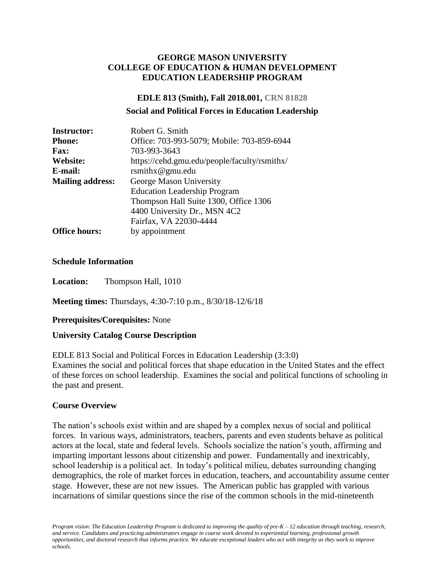### **GEORGE MASON UNIVERSITY COLLEGE OF EDUCATION & HUMAN DEVELOPMENT EDUCATION LEADERSHIP PROGRAM**

## **EDLE 813 (Smith), Fall 2018.001, CRN 81828**

#### **Social and Political Forces in Education Leadership**

| <b>Instructor:</b>      | Robert G. Smith                              |
|-------------------------|----------------------------------------------|
| <b>Phone:</b>           | Office: 703-993-5079; Mobile: 703-859-6944   |
| <b>Fax:</b>             | 703-993-3643                                 |
| Website:                | https://cehd.gmu.edu/people/faculty/rsmithx/ |
| E-mail:                 | rsmithx@gmu.edu                              |
| <b>Mailing address:</b> | George Mason University                      |
|                         | <b>Education Leadership Program</b>          |
|                         | Thompson Hall Suite 1300, Office 1306        |
|                         | 4400 University Dr., MSN 4C2                 |
|                         | Fairfax, VA 22030-4444                       |
| <b>Office hours:</b>    | by appointment                               |

#### **Schedule Information**

**Location:** Thompson Hall, 1010

**Meeting times:** Thursdays, 4:30-7:10 p.m., 8/30/18-12/6/18

#### **Prerequisites/Corequisites:** None

#### **University Catalog Course Description**

EDLE 813 Social and Political Forces in Education Leadership (3:3:0) Examines the social and political forces that shape education in the United States and the effect of these forces on school leadership. Examines the social and political functions of schooling in the past and present.

#### **Course Overview**

The nation's schools exist within and are shaped by a complex nexus of social and political forces. In various ways, administrators, teachers, parents and even students behave as political actors at the local, state and federal levels. Schools socialize the nation's youth, affirming and imparting important lessons about citizenship and power. Fundamentally and inextricably, school leadership is a political act. In today's political milieu, debates surrounding changing demographics, the role of market forces in education, teachers, and accountability assume center stage. However, these are not new issues. The American public has grappled with various incarnations of similar questions since the rise of the common schools in the mid-nineteenth

*Program vision*: *The Education Leadership Program is dedicated to improving the quality of pre-K – 12 education through teaching, research, and service. Candidates and practicing administrators engage in course work devoted to experiential learning, professional growth opportunities, and doctoral research that informs practice. We educate exceptional leaders who act with integrity as they work to improve schools.*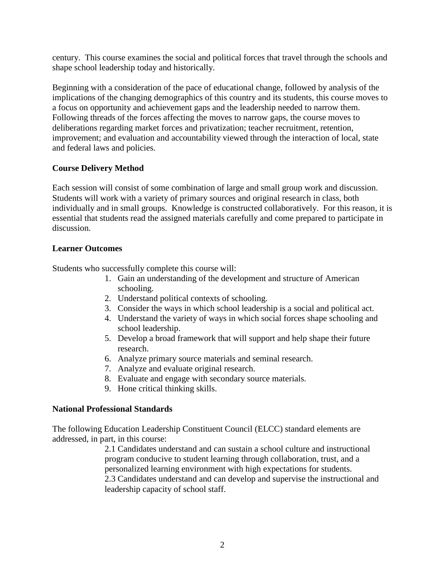century. This course examines the social and political forces that travel through the schools and shape school leadership today and historically.

Beginning with a consideration of the pace of educational change, followed by analysis of the implications of the changing demographics of this country and its students, this course moves to a focus on opportunity and achievement gaps and the leadership needed to narrow them. Following threads of the forces affecting the moves to narrow gaps, the course moves to deliberations regarding market forces and privatization; teacher recruitment, retention, improvement; and evaluation and accountability viewed through the interaction of local, state and federal laws and policies.

## **Course Delivery Method**

Each session will consist of some combination of large and small group work and discussion. Students will work with a variety of primary sources and original research in class, both individually and in small groups. Knowledge is constructed collaboratively. For this reason, it is essential that students read the assigned materials carefully and come prepared to participate in discussion.

## **Learner Outcomes**

Students who successfully complete this course will:

- 1. Gain an understanding of the development and structure of American schooling.
- 2. Understand political contexts of schooling.
- 3. Consider the ways in which school leadership is a social and political act.
- 4. Understand the variety of ways in which social forces shape schooling and school leadership.
- 5. Develop a broad framework that will support and help shape their future research.
- 6. Analyze primary source materials and seminal research.
- 7. Analyze and evaluate original research.
- 8. Evaluate and engage with secondary source materials.
- 9. Hone critical thinking skills.

## **National Professional Standards**

The following Education Leadership Constituent Council (ELCC) standard elements are addressed, in part, in this course:

2.1 Candidates understand and can sustain a school culture and instructional program conducive to student learning through collaboration, trust, and a personalized learning environment with high expectations for students. 2.3 Candidates understand and can develop and supervise the instructional and leadership capacity of school staff.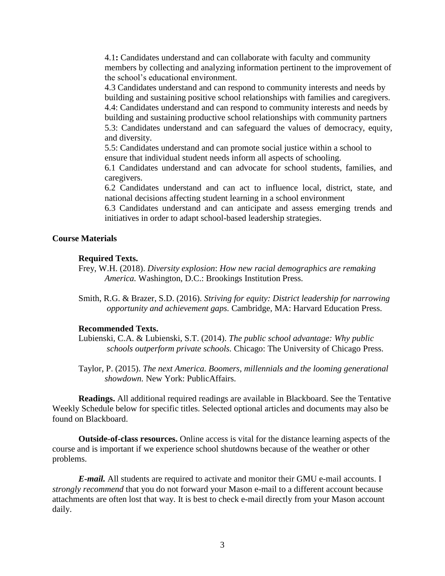4.1**:** Candidates understand and can collaborate with faculty and community members by collecting and analyzing information pertinent to the improvement of the school's educational environment.

4.3 Candidates understand and can respond to community interests and needs by building and sustaining positive school relationships with families and caregivers. 4.4: Candidates understand and can respond to community interests and needs by building and sustaining productive school relationships with community partners 5.3: Candidates understand and can safeguard the values of democracy, equity, and diversity.

5.5: Candidates understand and can promote social justice within a school to ensure that individual student needs inform all aspects of schooling.

6.1 Candidates understand and can advocate for school students, families, and caregivers.

6.2 Candidates understand and can act to influence local, district, state, and national decisions affecting student learning in a school environment

6.3 Candidates understand and can anticipate and assess emerging trends and initiatives in order to adapt school-based leadership strategies.

#### **Course Materials**

#### **Required Texts.**

- Frey, W.H. (2018). *Diversity explosion*: *How new racial demographics are remaking America.* Washington, D.C.: Brookings Institution Press.
- Smith, R.G. & Brazer, S.D. (2016). *Striving for equity: District leadership for narrowing opportunity and achievement gaps.* Cambridge, MA: Harvard Education Press.

#### **Recommended Texts.**

Lubienski, C.A. & Lubienski, S.T. (2014). *The public school advantage: Why public schools outperform private schools.* Chicago: The University of Chicago Press.

Taylor, P. (2015). *The next America. Boomers, millennials and the looming generational showdown.* New York: PublicAffairs.

**Readings.** All additional required readings are available in Blackboard. See the Tentative Weekly Schedule below for specific titles. Selected optional articles and documents may also be found on Blackboard.

**Outside-of-class resources.** Online access is vital for the distance learning aspects of the course and is important if we experience school shutdowns because of the weather or other problems.

*E-mail.* All students are required to activate and monitor their GMU e-mail accounts. I *strongly recommend* that you do not forward your Mason e-mail to a different account because attachments are often lost that way. It is best to check e-mail directly from your Mason account daily.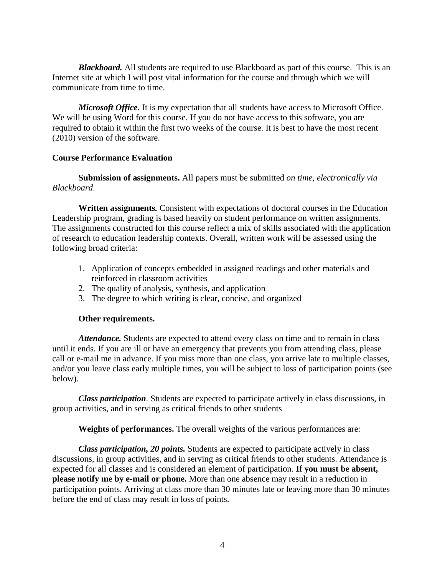*Blackboard.* All students are required to use Blackboard as part of this course. This is an Internet site at which I will post vital information for the course and through which we will communicate from time to time.

*Microsoft Office.* It is my expectation that all students have access to Microsoft Office. We will be using Word for this course. If you do not have access to this software, you are required to obtain it within the first two weeks of the course. It is best to have the most recent (2010) version of the software.

#### **Course Performance Evaluation**

**Submission of assignments.** All papers must be submitted *on time, electronically via Blackboard*.

**Written assignments***.* Consistent with expectations of doctoral courses in the Education Leadership program, grading is based heavily on student performance on written assignments. The assignments constructed for this course reflect a mix of skills associated with the application of research to education leadership contexts. Overall, written work will be assessed using the following broad criteria:

- 1. Application of concepts embedded in assigned readings and other materials and reinforced in classroom activities
- 2. The quality of analysis, synthesis, and application
- 3. The degree to which writing is clear, concise, and organized

#### **Other requirements.**

*Attendance.* Students are expected to attend every class on time and to remain in class until it ends. If you are ill or have an emergency that prevents you from attending class, please call or e-mail me in advance. If you miss more than one class, you arrive late to multiple classes, and/or you leave class early multiple times, you will be subject to loss of participation points (see below).

*Class participation.* Students are expected to participate actively in class discussions, in group activities, and in serving as critical friends to other students

**Weights of performances.** The overall weights of the various performances are:

*Class participation, 20 points.* Students are expected to participate actively in class discussions, in group activities, and in serving as critical friends to other students. Attendance is expected for all classes and is considered an element of participation. **If you must be absent, please notify me by e-mail or phone.** More than one absence may result in a reduction in participation points. Arriving at class more than 30 minutes late or leaving more than 30 minutes before the end of class may result in loss of points.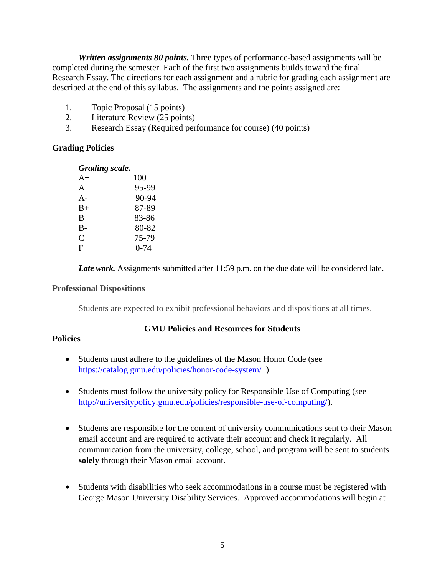*Written assignments 80 points.* Three types of performance-based assignments will be completed during the semester. Each of the first two assignments builds toward the final Research Essay. The directions for each assignment and a rubric for grading each assignment are described at the end of this syllabus. The assignments and the points assigned are:

- 1. Topic Proposal (15 points)
- 2. Literature Review (25 points)
- 3. Research Essay (Required performance for course) (40 points)

## **Grading Policies**

#### *Grading scale.*

| A+           | 100      |
|--------------|----------|
| A            | 95-99    |
| $A -$        | 90-94    |
| $_{\rm B+}$  | 87-89    |
| B            | 83-86    |
| B-           | 80-82    |
| $\mathsf{C}$ | 75-79    |
| F            | $0 - 74$ |

*Late work.* Assignments submitted after 11:59 p.m. on the due date will be considered late**.**

#### **Professional Dispositions**

Students are expected to exhibit professional behaviors and dispositions at all times.

#### **GMU Policies and Resources for Students**

#### **Policies**

- Students must adhere to the guidelines of the Mason Honor Code (see <https://catalog.gmu.edu/policies/honor-code-system/>).
- Students must follow the university policy for Responsible Use of Computing (see [http://universitypolicy.gmu.edu/policies/responsible-use-of-computing/\)](http://universitypolicy.gmu.edu/policies/responsible-use-of-computing/).
- Students are responsible for the content of university communications sent to their Mason email account and are required to activate their account and check it regularly. All communication from the university, college, school, and program will be sent to students **solely** through their Mason email account.
- Students with disabilities who seek accommodations in a course must be registered with George Mason University Disability Services. Approved accommodations will begin at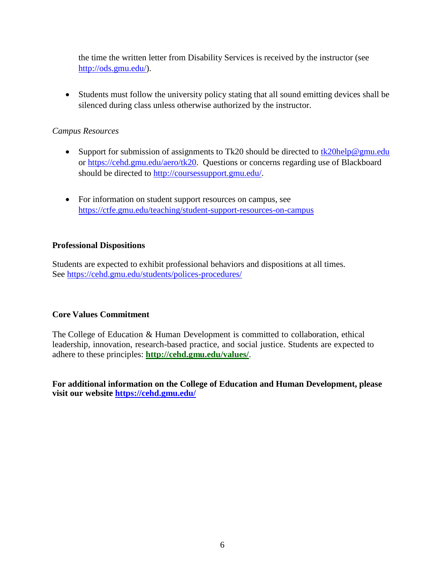the time the written letter from Disability Services is received by the instructor (see [http://ods.gmu.edu/\)](http://ods.gmu.edu/).

 Students must follow the university policy stating that all sound emitting devices shall be silenced during class unless otherwise authorized by the instructor.

## *Campus Resources*

- Support for submission of assignments to Tk20 should be directed to  $tk20$ help@gmu.edu or [https://cehd.gmu.edu/aero/tk20.](https://cehd.gmu.edu/aero/tk20) Questions or concerns regarding use of Blackboard should be directed to [http://coursessupport.gmu.edu/.](http://coursessupport.gmu.edu/)
- For information on student support resources on campus, see <https://ctfe.gmu.edu/teaching/student-support-resources-on-campus>

## **Professional Dispositions**

Students are expected to exhibit professional behaviors and dispositions at all times. See<https://cehd.gmu.edu/students/polices-procedures/>

## **Core Values Commitment**

The College of Education & Human Development is committed to collaboration, ethical leadership, innovation, research-based practice, and social justice. Students are expected to adhere to these principles: **<http://cehd.gmu.edu/values/>**.

**For additional information on the College of Education and Human Development, please visit our website<https://cehd.gmu.edu/>**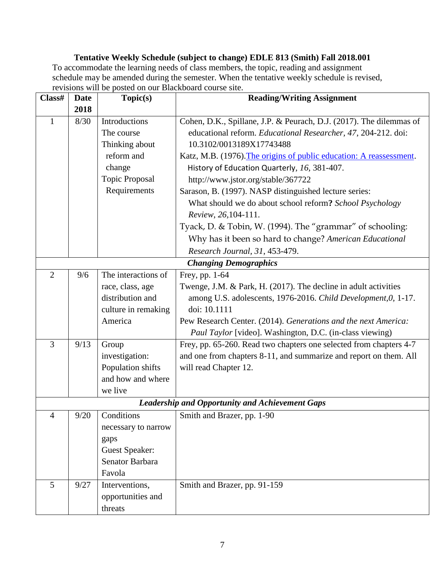## **Tentative Weekly Schedule (subject to change) EDLE 813 (Smith) Fall 2018.001** To accommodate the learning needs of class members, the topic, reading and assignment schedule may be amended during the semester. When the tentative weekly schedule is revised, revisions will be posted on our Blackboard course site.

| Class#         | <b>Date</b> | Topic(s)              | <b>Reading/Writing Assignment</b>                                   |  |  |
|----------------|-------------|-----------------------|---------------------------------------------------------------------|--|--|
|                | 2018        |                       |                                                                     |  |  |
| $\mathbf{1}$   | 8/30        | Introductions         | Cohen, D.K., Spillane, J.P. & Peurach, D.J. (2017). The dilemmas of |  |  |
|                |             | The course            | educational reform. Educational Researcher, 47, 204-212. doi:       |  |  |
|                |             | Thinking about        | 10.3102/0013189X17743488                                            |  |  |
|                |             | reform and            | Katz, M.B. (1976). The origins of public education: A reassessment. |  |  |
|                |             | change                | History of Education Quarterly, 16, 381-407.                        |  |  |
|                |             | <b>Topic Proposal</b> | http://www.jstor.org/stable/367722                                  |  |  |
|                |             | Requirements          | Sarason, B. (1997). NASP distinguished lecture series:              |  |  |
|                |             |                       | What should we do about school reform? School Psychology            |  |  |
|                |             |                       | Review, 26, 104-111.                                                |  |  |
|                |             |                       | Tyack, D. & Tobin, W. (1994). The "grammar" of schooling:           |  |  |
|                |             |                       | Why has it been so hard to change? American Educational             |  |  |
|                |             |                       | Research Journal, 31, 453-479.                                      |  |  |
|                |             |                       | <b>Changing Demographics</b>                                        |  |  |
| $\overline{2}$ | 9/6         | The interactions of   | Frey, pp. 1-64                                                      |  |  |
|                |             | race, class, age      | Twenge, J.M. & Park, H. (2017). The decline in adult activities     |  |  |
|                |             | distribution and      | among U.S. adolescents, 1976-2016. Child Development, 0, 1-17.      |  |  |
|                |             | culture in remaking   | doi: 10.1111                                                        |  |  |
|                |             | America               | Pew Research Center. (2014). Generations and the next America:      |  |  |
|                |             |                       | Paul Taylor [video]. Washington, D.C. (in-class viewing)            |  |  |
| 3              | 9/13        | Group                 | Frey, pp. 65-260. Read two chapters one selected from chapters 4-7  |  |  |
|                |             | investigation:        | and one from chapters 8-11, and summarize and report on them. All   |  |  |
|                |             | Population shifts     | will read Chapter 12.                                               |  |  |
|                |             | and how and where     |                                                                     |  |  |
|                |             | we live               |                                                                     |  |  |
|                |             |                       | <b>Leadership and Opportunity and Achievement Gaps</b>              |  |  |
| $\overline{4}$ | 9/20        | Conditions            | Smith and Brazer, pp. 1-90                                          |  |  |
|                |             | necessary to narrow   |                                                                     |  |  |
|                |             | gaps                  |                                                                     |  |  |
|                |             | <b>Guest Speaker:</b> |                                                                     |  |  |
|                |             | Senator Barbara       |                                                                     |  |  |
|                |             | Favola                |                                                                     |  |  |
| 5              | 9/27        | Interventions,        | Smith and Brazer, pp. 91-159                                        |  |  |
|                |             | opportunities and     |                                                                     |  |  |
|                |             | threats               |                                                                     |  |  |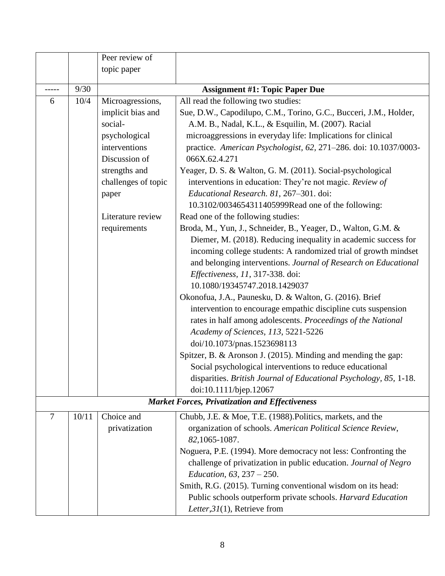|                |       | Peer review of      |                                                                   |  |  |  |
|----------------|-------|---------------------|-------------------------------------------------------------------|--|--|--|
|                |       | topic paper         |                                                                   |  |  |  |
|                | 9/30  |                     | <b>Assignment #1: Topic Paper Due</b>                             |  |  |  |
| 6              | 10/4  | Microagressions,    | All read the following two studies:                               |  |  |  |
|                |       | implicit bias and   | Sue, D.W., Capodilupo, C.M., Torino, G.C., Bucceri, J.M., Holder, |  |  |  |
|                |       | social-             | A.M. B., Nadal, K.L., & Esquilin, M. (2007). Racial               |  |  |  |
|                |       | psychological       | microaggressions in everyday life: Implications for clinical      |  |  |  |
|                |       | interventions       | practice. American Psychologist, 62, 271-286. doi: 10.1037/0003-  |  |  |  |
|                |       | Discussion of       | 066X.62.4.271                                                     |  |  |  |
|                |       | strengths and       | Yeager, D. S. & Walton, G. M. (2011). Social-psychological        |  |  |  |
|                |       | challenges of topic | interventions in education: They're not magic. Review of          |  |  |  |
|                |       | paper               | Educational Research. 81, 267-301. doi:                           |  |  |  |
|                |       |                     | 10.3102/0034654311405999Read one of the following:                |  |  |  |
|                |       | Literature review   | Read one of the following studies:                                |  |  |  |
|                |       | requirements        | Broda, M., Yun, J., Schneider, B., Yeager, D., Walton, G.M. &     |  |  |  |
|                |       |                     | Diemer, M. (2018). Reducing inequality in academic success for    |  |  |  |
|                |       |                     | incoming college students: A randomized trial of growth mindset   |  |  |  |
|                |       |                     | and belonging interventions. Journal of Research on Educational   |  |  |  |
|                |       |                     | Effectiveness, 11, 317-338. doi:                                  |  |  |  |
|                |       |                     | 10.1080/19345747.2018.1429037                                     |  |  |  |
|                |       |                     | Okonofua, J.A., Paunesku, D. & Walton, G. (2016). Brief           |  |  |  |
|                |       |                     | intervention to encourage empathic discipline cuts suspension     |  |  |  |
|                |       |                     | rates in half among adolescents. Proceedings of the National      |  |  |  |
|                |       |                     | Academy of Sciences, 113, 5221-5226                               |  |  |  |
|                |       |                     | doi/10.1073/pnas.1523698113                                       |  |  |  |
|                |       |                     | Spitzer, B. & Aronson J. (2015). Minding and mending the gap:     |  |  |  |
|                |       |                     | Social psychological interventions to reduce educational          |  |  |  |
|                |       |                     | disparities. British Journal of Educational Psychology, 85, 1-18. |  |  |  |
|                |       |                     | doi:10.1111/bjep.12067                                            |  |  |  |
|                |       |                     | <b>Market Forces, Privatization and Effectiveness</b>             |  |  |  |
| $\overline{7}$ | 10/11 | Choice and          | Chubb, J.E. & Moe, T.E. (1988). Politics, markets, and the        |  |  |  |
|                |       | privatization       | organization of schools. American Political Science Review,       |  |  |  |
|                |       |                     | 82,1065-1087.                                                     |  |  |  |
|                |       |                     | Noguera, P.E. (1994). More democracy not less: Confronting the    |  |  |  |
|                |       |                     | challenge of privatization in public education. Journal of Negro  |  |  |  |
|                |       |                     | Education, $63, 237 - 250$ .                                      |  |  |  |
|                |       |                     | Smith, R.G. (2015). Turning conventional wisdom on its head:      |  |  |  |
|                |       |                     | Public schools outperform private schools. Harvard Education      |  |  |  |
|                |       |                     | Letter, $31(1)$ , Retrieve from                                   |  |  |  |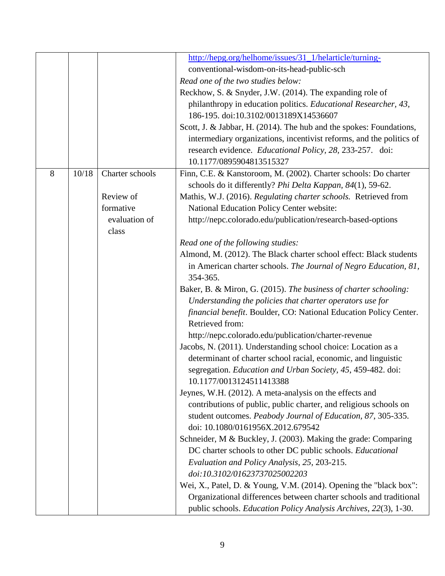|   |       |                 | http://hepg.org/helhome/issues/31_1/helarticle/turning-                                                                          |
|---|-------|-----------------|----------------------------------------------------------------------------------------------------------------------------------|
|   |       |                 | conventional-wisdom-on-its-head-public-sch                                                                                       |
|   |       |                 | Read one of the two studies below:                                                                                               |
|   |       |                 | Reckhow, S. & Snyder, J.W. (2014). The expanding role of                                                                         |
|   |       |                 | philanthropy in education politics. Educational Researcher, 43,                                                                  |
|   |       |                 | 186-195. doi:10.3102/0013189X14536607                                                                                            |
|   |       |                 | Scott, J. & Jabbar, H. (2014). The hub and the spokes: Foundations,                                                              |
|   |       |                 | intermediary organizations, incentivist reforms, and the politics of<br>research evidence. Educational Policy, 28, 233-257. doi: |
|   |       |                 | 10.1177/0895904813515327                                                                                                         |
| 8 | 10/18 | Charter schools | Finn, C.E. & Kanstoroom, M. (2002). Charter schools: Do charter                                                                  |
|   |       |                 | schools do it differently? Phi Delta Kappan, 84(1), 59-62.                                                                       |
|   |       | Review of       | Mathis, W.J. (2016). Regulating charter schools. Retrieved from                                                                  |
|   |       | formative       | <b>National Education Policy Center website:</b>                                                                                 |
|   |       | evaluation of   | http://nepc.colorado.edu/publication/research-based-options                                                                      |
|   |       | class           |                                                                                                                                  |
|   |       |                 | Read one of the following studies:                                                                                               |
|   |       |                 | Almond, M. (2012). The Black charter school effect: Black students                                                               |
|   |       |                 | in American charter schools. The Journal of Negro Education, 81,<br>354-365.                                                     |
|   |       |                 | Baker, B. & Miron, G. (2015). The business of charter schooling:                                                                 |
|   |       |                 | Understanding the policies that charter operators use for                                                                        |
|   |       |                 | financial benefit. Boulder, CO: National Education Policy Center.                                                                |
|   |       |                 | Retrieved from:                                                                                                                  |
|   |       |                 | http://nepc.colorado.edu/publication/charter-revenue                                                                             |
|   |       |                 | Jacobs, N. (2011). Understanding school choice: Location as a<br>determinant of charter school racial, economic, and linguistic  |
|   |       |                 | segregation. Education and Urban Society, 45, 459-482. doi:                                                                      |
|   |       |                 | 10.1177/0013124511413388                                                                                                         |
|   |       |                 | Jeynes, W.H. (2012). A meta-analysis on the effects and                                                                          |
|   |       |                 | contributions of public, public charter, and religious schools on                                                                |
|   |       |                 | student outcomes. Peabody Journal of Education, 87, 305-335.                                                                     |
|   |       |                 | doi: 10.1080/0161956X.2012.679542                                                                                                |
|   |       |                 | Schneider, M & Buckley, J. (2003). Making the grade: Comparing                                                                   |
|   |       |                 | DC charter schools to other DC public schools. Educational                                                                       |
|   |       |                 | Evaluation and Policy Analysis, 25, 203-215.                                                                                     |
|   |       |                 | doi:10.3102/01623737025002203                                                                                                    |
|   |       |                 | Wei, X., Patel, D. & Young, V.M. (2014). Opening the "black box":                                                                |
|   |       |                 | Organizational differences between charter schools and traditional                                                               |
|   |       |                 | public schools. Education Policy Analysis Archives, 22(3), 1-30.                                                                 |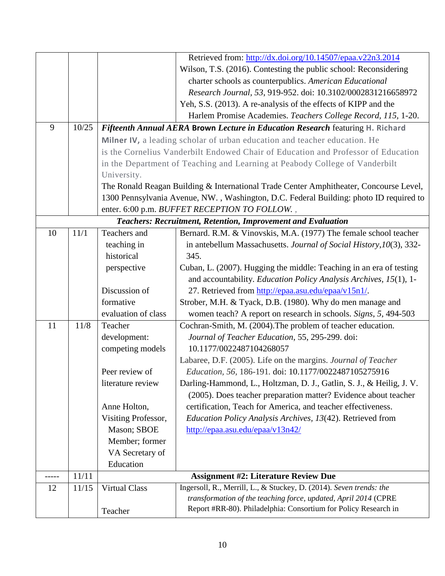|         |       |                                                                   | Retrieved from: http://dx.doi.org/10.14507/epaa.v22n3.2014                             |  |  |  |  |
|---------|-------|-------------------------------------------------------------------|----------------------------------------------------------------------------------------|--|--|--|--|
|         |       |                                                                   | Wilson, T.S. (2016). Contesting the public school: Reconsidering                       |  |  |  |  |
|         |       |                                                                   | charter schools as counterpublics. American Educational                                |  |  |  |  |
|         |       |                                                                   | Research Journal, 53, 919-952. doi: 10.3102/0002831216658972                           |  |  |  |  |
|         |       |                                                                   | Yeh, S.S. (2013). A re-analysis of the effects of KIPP and the                         |  |  |  |  |
|         |       |                                                                   | Harlem Promise Academies. Teachers College Record, 115, 1-20.                          |  |  |  |  |
| 9       | 10/25 |                                                                   | Fifteenth Annual AERA Brown Lecture in Education Research featuring H. Richard         |  |  |  |  |
|         |       |                                                                   | Milner IV, a leading scholar of urban education and teacher education. He              |  |  |  |  |
|         |       |                                                                   | is the Cornelius Vanderbilt Endowed Chair of Education and Professor of Education      |  |  |  |  |
|         |       |                                                                   | in the Department of Teaching and Learning at Peabody College of Vanderbilt            |  |  |  |  |
|         |       | University.                                                       |                                                                                        |  |  |  |  |
|         |       |                                                                   | The Ronald Reagan Building & International Trade Center Amphitheater, Concourse Level, |  |  |  |  |
|         |       |                                                                   | 1300 Pennsylvania Avenue, NW., Washington, D.C. Federal Building: photo ID required to |  |  |  |  |
|         |       |                                                                   |                                                                                        |  |  |  |  |
|         |       |                                                                   | enter. 6:00 p.m. BUFFET RECEPTION TO FOLLOW.,                                          |  |  |  |  |
|         |       |                                                                   | <b>Teachers: Recruitment, Retention, Improvement and Evaluation</b>                    |  |  |  |  |
| 10      | 11/1  | Teachers and                                                      | Bernard. R.M. & Vinovskis, M.A. (1977) The female school teacher                       |  |  |  |  |
|         |       | teaching in                                                       | in antebellum Massachusetts. Journal of Social History, 10(3), 332-                    |  |  |  |  |
|         |       | historical                                                        | 345.                                                                                   |  |  |  |  |
|         |       |                                                                   | Cuban, L. (2007). Hugging the middle: Teaching in an era of testing<br>perspective     |  |  |  |  |
|         |       | and accountability. Education Policy Analysis Archives, 15(1), 1- |                                                                                        |  |  |  |  |
|         |       | Discussion of                                                     | 27. Retrieved from http://epaa.asu.edu/epaa/v15n1/.                                    |  |  |  |  |
|         |       | formative                                                         | Strober, M.H. & Tyack, D.B. (1980). Why do men manage and                              |  |  |  |  |
|         |       | evaluation of class                                               | women teach? A report on research in schools. Signs, 5, 494-503                        |  |  |  |  |
| 11      | 11/8  | Teacher                                                           | Cochran-Smith, M. (2004). The problem of teacher education.                            |  |  |  |  |
|         |       | development:                                                      | Journal of Teacher Education, 55, 295-299. doi:                                        |  |  |  |  |
|         |       | competing models                                                  | 10.1177/0022487104268057                                                               |  |  |  |  |
|         |       |                                                                   | Labaree, D.F. (2005). Life on the margins. Journal of Teacher                          |  |  |  |  |
|         |       | Peer review of                                                    | Education, 56, 186-191. doi: 10.1177/0022487105275916                                  |  |  |  |  |
|         |       | literature review                                                 | Darling-Hammond, L., Holtzman, D. J., Gatlin, S. J., & Heilig, J. V.                   |  |  |  |  |
|         |       |                                                                   | (2005). Does teacher preparation matter? Evidence about teacher                        |  |  |  |  |
|         |       | Anne Holton,                                                      | certification, Teach for America, and teacher effectiveness.                           |  |  |  |  |
|         |       | Visiting Professor,                                               | Education Policy Analysis Archives, 13(42). Retrieved from                             |  |  |  |  |
|         |       | Mason; SBOE                                                       | http://epaa.asu.edu/epaa/v13n42/                                                       |  |  |  |  |
|         |       | Member; former                                                    |                                                                                        |  |  |  |  |
|         |       | VA Secretary of                                                   |                                                                                        |  |  |  |  |
|         |       | Education                                                         |                                                                                        |  |  |  |  |
| $--- -$ | 11/11 |                                                                   | <b>Assignment #2: Literature Review Due</b>                                            |  |  |  |  |
| 12      | 11/15 | <b>Virtual Class</b>                                              | Ingersoll, R., Merrill, L., & Stuckey, D. (2014). Seven trends: the                    |  |  |  |  |
|         |       |                                                                   | transformation of the teaching force, updated, April 2014 (CPRE                        |  |  |  |  |
|         |       | Teacher                                                           | Report #RR-80). Philadelphia: Consortium for Policy Research in                        |  |  |  |  |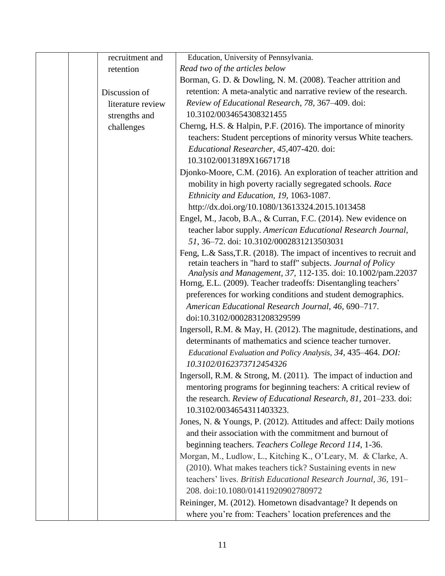| recruitment and   | Education, University of Pennsylvania.                               |
|-------------------|----------------------------------------------------------------------|
| retention         | Read two of the articles below                                       |
|                   | Borman, G. D. & Dowling, N. M. (2008). Teacher attrition and         |
| Discussion of     | retention: A meta-analytic and narrative review of the research.     |
| literature review | Review of Educational Research, 78, 367-409. doi:                    |
| strengths and     | 10.3102/0034654308321455                                             |
| challenges        | Cherng, H.S. & Halpin, P.F. (2016). The importance of minority       |
|                   | teachers: Student perceptions of minority versus White teachers.     |
|                   | Educational Researcher, 45,407-420. doi:                             |
|                   | 10.3102/0013189X16671718                                             |
|                   | Djonko-Moore, C.M. (2016). An exploration of teacher attrition and   |
|                   | mobility in high poverty racially segregated schools. Race           |
|                   | Ethnicity and Education, 19, 1063-1087.                              |
|                   | http://dx.doi.org/10.1080/13613324.2015.1013458                      |
|                   | Engel, M., Jacob, B.A., & Curran, F.C. (2014). New evidence on       |
|                   | teacher labor supply. American Educational Research Journal,         |
|                   | 51, 36-72. doi: 10.3102/0002831213503031                             |
|                   | Feng, L.& Sass, T.R. (2018). The impact of incentives to recruit and |
|                   | retain teachers in "hard to staff" subjects. Journal of Policy       |
|                   | Analysis and Management, 37, 112-135. doi: 10.1002/pam.22037         |
|                   | Horng, E.L. (2009). Teacher tradeoffs: Disentangling teachers'       |
|                   | preferences for working conditions and student demographics.         |
|                   | American Educational Research Journal, 46, 690-717.                  |
|                   | doi:10.3102/0002831208329599                                         |
|                   | Ingersoll, R.M. & May, H. (2012). The magnitude, destinations, and   |
|                   | determinants of mathematics and science teacher turnover.            |
|                   | Educational Evaluation and Policy Analysis, 34, 435–464. DOI:        |
|                   | 10.3102/0162373712454326                                             |
|                   | Ingersoll, R.M. & Strong, M. (2011). The impact of induction and     |
|                   | mentoring programs for beginning teachers: A critical review of      |
|                   | the research. Review of Educational Research, 81, 201-233. doi:      |
|                   | 10.3102/0034654311403323.                                            |
|                   | Jones, N. & Youngs, P. (2012). Attitudes and affect: Daily motions   |
|                   | and their association with the commitment and burnout of             |
|                   | beginning teachers. Teachers College Record 114, 1-36.               |
|                   | Morgan, M., Ludlow, L., Kitching K., O'Leary, M. & Clarke, A.        |
|                   | (2010). What makes teachers tick? Sustaining events in new           |
|                   | teachers' lives. British Educational Research Journal, 36, 191-      |
|                   | 208. doi:10.1080/01411920902780972                                   |
|                   | Reininger, M. (2012). Hometown disadvantage? It depends on           |
|                   | where you're from: Teachers' location preferences and the            |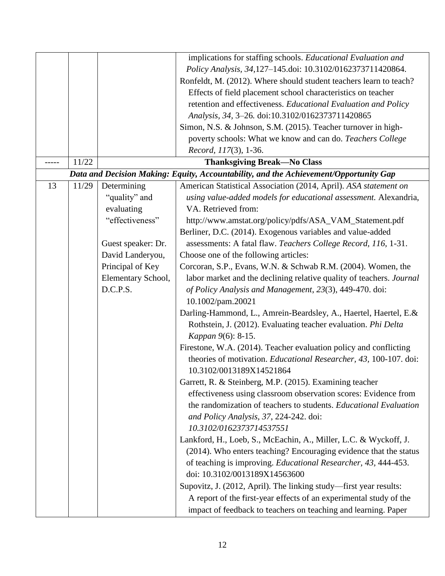|    |       |                    | implications for staffing schools. Educational Evaluation and                                                                                                      |  |  |
|----|-------|--------------------|--------------------------------------------------------------------------------------------------------------------------------------------------------------------|--|--|
|    |       |                    | Policy Analysis, 34,127-145.doi: 10.3102/0162373711420864.                                                                                                         |  |  |
|    |       |                    | Ronfeldt, M. (2012). Where should student teachers learn to teach?                                                                                                 |  |  |
|    |       |                    | Effects of field placement school characteristics on teacher                                                                                                       |  |  |
|    |       |                    | retention and effectiveness. Educational Evaluation and Policy                                                                                                     |  |  |
|    |       |                    | Analysis, 34, 3-26. doi:10.3102/0162373711420865                                                                                                                   |  |  |
|    |       |                    | Simon, N.S. & Johnson, S.M. (2015). Teacher turnover in high-                                                                                                      |  |  |
|    |       |                    | poverty schools: What we know and can do. Teachers College                                                                                                         |  |  |
|    |       |                    | Record, 117(3), 1-36.                                                                                                                                              |  |  |
|    | 11/22 |                    | <b>Thanksgiving Break-No Class</b>                                                                                                                                 |  |  |
|    |       |                    | Data and Decision Making: Equity, Accountability, and the Achievement/Opportunity Gap                                                                              |  |  |
| 13 | 11/29 | Determining        | American Statistical Association (2014, April). ASA statement on                                                                                                   |  |  |
|    |       | "quality" and      | using value-added models for educational assessment. Alexandria,                                                                                                   |  |  |
|    |       | evaluating         | VA. Retrieved from:                                                                                                                                                |  |  |
|    |       | "effectiveness"    | http://www.amstat.org/policy/pdfs/ASA_VAM_Statement.pdf                                                                                                            |  |  |
|    |       |                    | Berliner, D.C. (2014). Exogenous variables and value-added                                                                                                         |  |  |
|    |       | Guest speaker: Dr. | assessments: A fatal flaw. Teachers College Record, 116, 1-31.                                                                                                     |  |  |
|    |       | David Landeryou,   | Choose one of the following articles:                                                                                                                              |  |  |
|    |       | Principal of Key   | Corcoran, S.P., Evans, W.N. & Schwab R.M. (2004). Women, the                                                                                                       |  |  |
|    |       | Elementary School, | labor market and the declining relative quality of teachers. Journal                                                                                               |  |  |
|    |       | D.C.P.S.           | of Policy Analysis and Management, 23(3), 449-470. doi:<br>10.1002/pam.20021                                                                                       |  |  |
|    |       |                    | Darling-Hammond, L., Amrein-Beardsley, A., Haertel, Haertel, E.&<br>Rothstein, J. (2012). Evaluating teacher evaluation. Phi Delta<br>Kappan 9(6): 8-15.           |  |  |
|    |       |                    | Firestone, W.A. (2014). Teacher evaluation policy and conflicting<br>theories of motivation. Educational Researcher, 43, 100-107. doi:<br>10.3102/0013189X14521864 |  |  |
|    |       |                    | Garrett, R. & Steinberg, M.P. (2015). Examining teacher                                                                                                            |  |  |
|    |       |                    | effectiveness using classroom observation scores: Evidence from                                                                                                    |  |  |
|    |       |                    | the randomization of teachers to students. Educational Evaluation                                                                                                  |  |  |
|    |       |                    | and Policy Analysis, 37, 224-242. doi:                                                                                                                             |  |  |
|    |       |                    | 10.3102/0162373714537551                                                                                                                                           |  |  |
|    |       |                    | Lankford, H., Loeb, S., McEachin, A., Miller, L.C. & Wyckoff, J.                                                                                                   |  |  |
|    |       |                    | (2014). Who enters teaching? Encouraging evidence that the status                                                                                                  |  |  |
|    |       |                    | of teaching is improving. Educational Researcher, 43, 444-453.<br>doi: 10.3102/0013189X14563600                                                                    |  |  |
|    |       |                    | Supovitz, J. (2012, April). The linking study—first year results:                                                                                                  |  |  |
|    |       |                    | A report of the first-year effects of an experimental study of the                                                                                                 |  |  |
|    |       |                    | impact of feedback to teachers on teaching and learning. Paper                                                                                                     |  |  |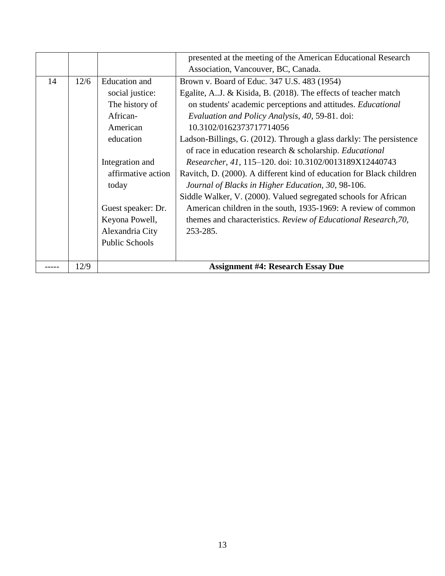|    |      |                       | presented at the meeting of the American Educational Research        |  |  |
|----|------|-----------------------|----------------------------------------------------------------------|--|--|
|    |      |                       | Association, Vancouver, BC, Canada.                                  |  |  |
| 14 | 12/6 | <b>Education</b> and  | Brown v. Board of Educ. 347 U.S. 483 (1954)                          |  |  |
|    |      | social justice:       | Egalite, A.J. & Kisida, B. (2018). The effects of teacher match      |  |  |
|    |      | The history of        | on students' academic perceptions and attitudes. Educational         |  |  |
|    |      | African-              | Evaluation and Policy Analysis, 40, 59-81. doi:                      |  |  |
|    |      | American              | 10.3102/0162373717714056                                             |  |  |
|    |      | education             | Ladson-Billings, G. (2012). Through a glass darkly: The persistence  |  |  |
|    |      |                       | of race in education research & scholarship. Educational             |  |  |
|    |      | Integration and       | Researcher, 41, 115-120. doi: 10.3102/0013189X12440743               |  |  |
|    |      | affirmative action    | Ravitch, D. (2000). A different kind of education for Black children |  |  |
|    |      | today                 | Journal of Blacks in Higher Education, 30, 98-106.                   |  |  |
|    |      |                       | Siddle Walker, V. (2000). Valued segregated schools for African      |  |  |
|    |      | Guest speaker: Dr.    | American children in the south, 1935-1969: A review of common        |  |  |
|    |      | Keyona Powell,        | themes and characteristics. Review of Educational Research, 70,      |  |  |
|    |      | Alexandria City       | 253-285.                                                             |  |  |
|    |      | <b>Public Schools</b> |                                                                      |  |  |
|    |      |                       |                                                                      |  |  |
|    | 12/9 |                       | <b>Assignment #4: Research Essay Due</b>                             |  |  |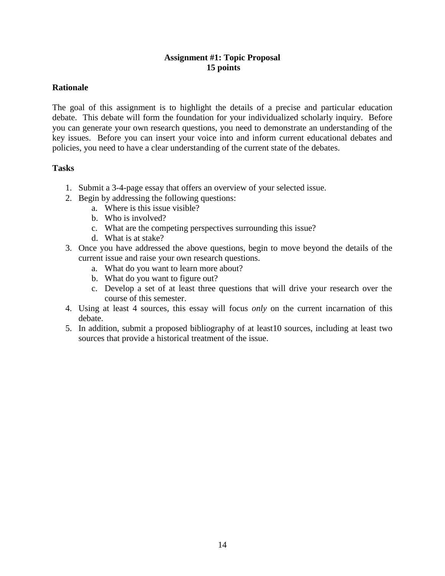## **Assignment #1: Topic Proposal 15 points**

## **Rationale**

The goal of this assignment is to highlight the details of a precise and particular education debate. This debate will form the foundation for your individualized scholarly inquiry. Before you can generate your own research questions, you need to demonstrate an understanding of the key issues. Before you can insert your voice into and inform current educational debates and policies, you need to have a clear understanding of the current state of the debates.

## **Tasks**

- 1. Submit a 3-4-page essay that offers an overview of your selected issue.
- 2. Begin by addressing the following questions:
	- a. Where is this issue visible?
	- b. Who is involved?
	- c. What are the competing perspectives surrounding this issue?
	- d. What is at stake?
- 3. Once you have addressed the above questions, begin to move beyond the details of the current issue and raise your own research questions.
	- a. What do you want to learn more about?
	- b. What do you want to figure out?
	- c. Develop a set of at least three questions that will drive your research over the course of this semester.
- 4. Using at least 4 sources, this essay will focus *only* on the current incarnation of this debate.
- 5. In addition, submit a proposed bibliography of at least10 sources, including at least two sources that provide a historical treatment of the issue.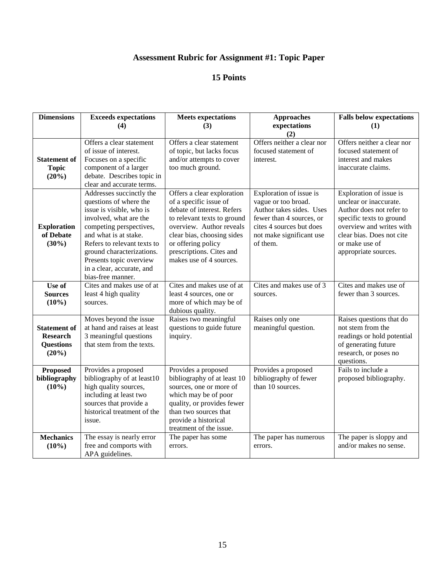# **Assessment Rubric for Assignment #1: Topic Paper**

| <b>Dimensions</b>                                                   | <b>Exceeds expectations</b>                                                                                                                                                                                                                                                                           | <b>Meets expectations</b>                                                                                                                                                                                                                                | <b>Approaches</b>                                                                                                                                                          | <b>Falls below expectations</b>                                                                                                                                                                              |
|---------------------------------------------------------------------|-------------------------------------------------------------------------------------------------------------------------------------------------------------------------------------------------------------------------------------------------------------------------------------------------------|----------------------------------------------------------------------------------------------------------------------------------------------------------------------------------------------------------------------------------------------------------|----------------------------------------------------------------------------------------------------------------------------------------------------------------------------|--------------------------------------------------------------------------------------------------------------------------------------------------------------------------------------------------------------|
|                                                                     | (4)                                                                                                                                                                                                                                                                                                   | (3)                                                                                                                                                                                                                                                      | expectations                                                                                                                                                               | (1)                                                                                                                                                                                                          |
| <b>Statement of</b><br><b>Topic</b><br>(20%)                        | Offers a clear statement<br>of issue of interest.<br>Focuses on a specific<br>component of a larger<br>debate. Describes topic in                                                                                                                                                                     | Offers a clear statement<br>of topic, but lacks focus<br>and/or attempts to cover<br>too much ground.                                                                                                                                                    | (2)<br>Offers neither a clear nor<br>focused statement of<br>interest.                                                                                                     | Offers neither a clear nor<br>focused statement of<br>interest and makes<br>inaccurate claims.                                                                                                               |
|                                                                     | clear and accurate terms.                                                                                                                                                                                                                                                                             |                                                                                                                                                                                                                                                          |                                                                                                                                                                            |                                                                                                                                                                                                              |
| <b>Exploration</b><br>of Debate<br>$(30\%)$                         | Addresses succinctly the<br>questions of where the<br>issue is visible, who is<br>involved, what are the<br>competing perspectives,<br>and what is at stake.<br>Refers to relevant texts to<br>ground characterizations.<br>Presents topic overview<br>in a clear, accurate, and<br>bias-free manner. | Offers a clear exploration<br>of a specific issue of<br>debate of interest. Refers<br>to relevant texts to ground<br>overview. Author reveals<br>clear bias, choosing sides<br>or offering policy<br>prescriptions. Cites and<br>makes use of 4 sources. | Exploration of issue is<br>vague or too broad.<br>Author takes sides. Uses<br>fewer than 4 sources, or<br>cites 4 sources but does<br>not make significant use<br>of them. | Exploration of issue is<br>unclear or inaccurate.<br>Author does not refer to<br>specific texts to ground<br>overview and writes with<br>clear bias. Does not cite<br>or make use of<br>appropriate sources. |
| Use of                                                              | Cites and makes use of at                                                                                                                                                                                                                                                                             | Cites and makes use of at                                                                                                                                                                                                                                | Cites and makes use of 3                                                                                                                                                   | Cites and makes use of                                                                                                                                                                                       |
| <b>Sources</b><br>$(10\%)$                                          | least 4 high quality<br>sources.                                                                                                                                                                                                                                                                      | least 4 sources, one or<br>more of which may be of<br>dubious quality.                                                                                                                                                                                   | sources.                                                                                                                                                                   | fewer than 3 sources.                                                                                                                                                                                        |
| <b>Statement of</b><br><b>Research</b><br><b>Questions</b><br>(20%) | Moves beyond the issue<br>at hand and raises at least<br>3 meaningful questions<br>that stem from the texts.                                                                                                                                                                                          | Raises two meaningful<br>questions to guide future<br>inquiry.                                                                                                                                                                                           | Raises only one<br>meaningful question.                                                                                                                                    | Raises questions that do<br>not stem from the<br>readings or hold potential<br>of generating future<br>research, or poses no<br>questions.                                                                   |
| <b>Proposed</b><br>bibliography<br>$(10\%)$                         | Provides a proposed<br>bibliography of at least10<br>high quality sources,<br>including at least two<br>sources that provide a<br>historical treatment of the<br>issue.                                                                                                                               | Provides a proposed<br>bibliography of at least 10<br>sources, one or more of<br>which may be of poor<br>quality, or provides fewer<br>than two sources that<br>provide a historical<br>treatment of the issue.                                          | Provides a proposed<br>bibliography of fewer<br>than 10 sources.                                                                                                           | Fails to include a<br>proposed bibliography.                                                                                                                                                                 |
| <b>Mechanics</b><br>$(10\%)$                                        | The essay is nearly error<br>free and comports with<br>APA guidelines.                                                                                                                                                                                                                                | The paper has some<br>errors.                                                                                                                                                                                                                            | The paper has numerous<br>errors.                                                                                                                                          | The paper is sloppy and<br>and/or makes no sense.                                                                                                                                                            |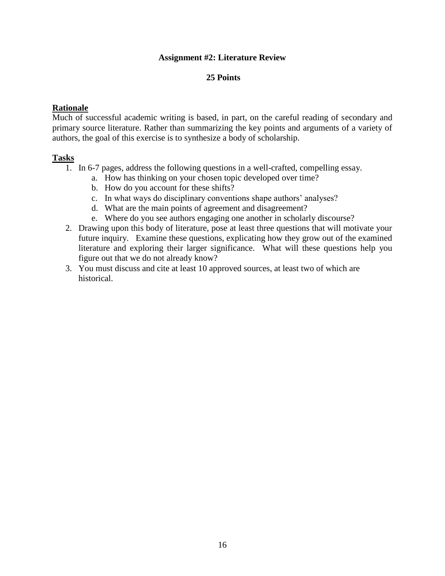## **Assignment #2: Literature Review**

## **25 Points**

## **Rationale**

Much of successful academic writing is based, in part, on the careful reading of secondary and primary source literature. Rather than summarizing the key points and arguments of a variety of authors, the goal of this exercise is to synthesize a body of scholarship.

#### **Tasks**

- 1. In 6-7 pages, address the following questions in a well-crafted, compelling essay.
	- a. How has thinking on your chosen topic developed over time?
	- b. How do you account for these shifts?
	- c. In what ways do disciplinary conventions shape authors' analyses?
	- d. What are the main points of agreement and disagreement?
	- e. Where do you see authors engaging one another in scholarly discourse?
- 2. Drawing upon this body of literature, pose at least three questions that will motivate your future inquiry. Examine these questions, explicating how they grow out of the examined literature and exploring their larger significance. What will these questions help you figure out that we do not already know?
- 3. You must discuss and cite at least 10 approved sources, at least two of which are historical.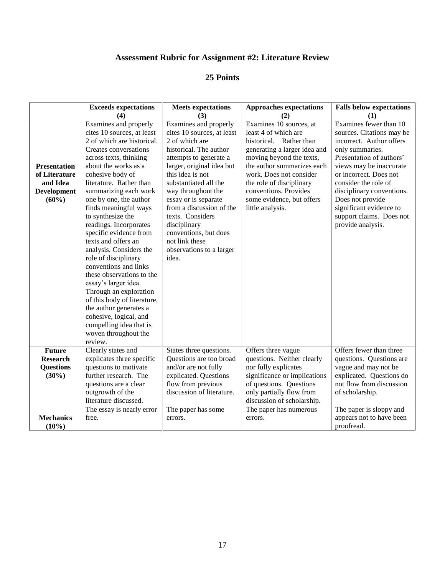## **Assessment Rubric for Assignment #2: Literature Review**

|                                                                                    | <b>Exceeds expectations</b>                                                                                                                                                                                                                                                                                                                                                                                                                                                                                                                                                                                                                                                                         | <b>Meets expectations</b>                                                                                                                                                                                                                                                                                                                                                                         | <b>Approaches expectations</b>                                                                                                                                                                                                                                                                        | <b>Falls below expectations</b>                                                                                                                                                                                                                                                                                                          |
|------------------------------------------------------------------------------------|-----------------------------------------------------------------------------------------------------------------------------------------------------------------------------------------------------------------------------------------------------------------------------------------------------------------------------------------------------------------------------------------------------------------------------------------------------------------------------------------------------------------------------------------------------------------------------------------------------------------------------------------------------------------------------------------------------|---------------------------------------------------------------------------------------------------------------------------------------------------------------------------------------------------------------------------------------------------------------------------------------------------------------------------------------------------------------------------------------------------|-------------------------------------------------------------------------------------------------------------------------------------------------------------------------------------------------------------------------------------------------------------------------------------------------------|------------------------------------------------------------------------------------------------------------------------------------------------------------------------------------------------------------------------------------------------------------------------------------------------------------------------------------------|
|                                                                                    | (4)                                                                                                                                                                                                                                                                                                                                                                                                                                                                                                                                                                                                                                                                                                 | (3)                                                                                                                                                                                                                                                                                                                                                                                               | (2)                                                                                                                                                                                                                                                                                                   | (1)                                                                                                                                                                                                                                                                                                                                      |
| <b>Presentation</b><br>of Literature<br>and Idea<br><b>Development</b><br>$(60\%)$ | Examines and properly<br>cites 10 sources, at least<br>2 of which are historical.<br>Creates conversations<br>across texts, thinking<br>about the works as a<br>cohesive body of<br>literature. Rather than<br>summarizing each work<br>one by one, the author<br>finds meaningful ways<br>to synthesize the<br>readings. Incorporates<br>specific evidence from<br>texts and offers an<br>analysis. Considers the<br>role of disciplinary<br>conventions and links<br>these observations to the<br>essay's larger idea.<br>Through an exploration<br>of this body of literature,<br>the author generates a<br>cohesive, logical, and<br>compelling idea that is<br>woven throughout the<br>review. | Examines and properly<br>cites 10 sources, at least<br>2 of which are<br>historical. The author<br>attempts to generate a<br>larger, original idea but<br>this idea is not<br>substantiated all the<br>way throughout the<br>essay or is separate<br>from a discussion of the<br>texts. Considers<br>disciplinary<br>conventions, but does<br>not link these<br>observations to a larger<br>idea. | Examines 10 sources, at<br>least 4 of which are<br>historical. Rather than<br>generating a larger idea and<br>moving beyond the texts,<br>the author summarizes each<br>work. Does not consider<br>the role of disciplinary<br>conventions. Provides<br>some evidence, but offers<br>little analysis. | Examines fewer than 10<br>sources. Citations may be<br>incorrect. Author offers<br>only summaries.<br>Presentation of authors'<br>views may be inaccurate<br>or incorrect. Does not<br>consider the role of<br>disciplinary conventions.<br>Does not provide<br>significant evidence to<br>support claims. Does not<br>provide analysis. |
| <b>Future</b><br><b>Research</b><br><b>Questions</b><br>$(30\%)$                   | Clearly states and<br>explicates three specific<br>questions to motivate<br>further research. The<br>questions are a clear<br>outgrowth of the<br>literature discussed.                                                                                                                                                                                                                                                                                                                                                                                                                                                                                                                             | States three questions.<br>Questions are too broad<br>and/or are not fully<br>explicated. Questions<br>flow from previous<br>discussion of literature.                                                                                                                                                                                                                                            | Offers three vague<br>questions. Neither clearly<br>nor fully explicates<br>significance or implications<br>of questions. Questions<br>only partially flow from<br>discussion of scholarship.                                                                                                         | Offers fewer than three<br>questions. Questions are<br>vague and may not be<br>explicated. Questions do<br>not flow from discussion<br>of scholarship.                                                                                                                                                                                   |
| <b>Mechanics</b><br>$(10\%)$                                                       | The essay is nearly error<br>free.                                                                                                                                                                                                                                                                                                                                                                                                                                                                                                                                                                                                                                                                  | The paper has some<br>errors.                                                                                                                                                                                                                                                                                                                                                                     | The paper has numerous<br>errors.                                                                                                                                                                                                                                                                     | The paper is sloppy and<br>appears not to have been<br>proofread.                                                                                                                                                                                                                                                                        |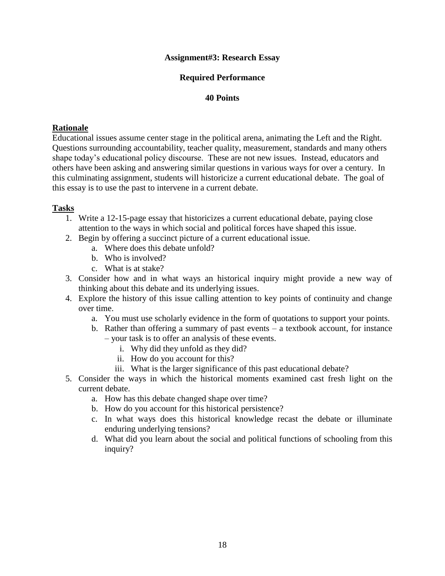## **Assignment#3: Research Essay**

## **Required Performance**

#### **40 Points**

#### **Rationale**

Educational issues assume center stage in the political arena, animating the Left and the Right. Questions surrounding accountability, teacher quality, measurement, standards and many others shape today's educational policy discourse. These are not new issues. Instead, educators and others have been asking and answering similar questions in various ways for over a century. In this culminating assignment, students will historicize a current educational debate. The goal of this essay is to use the past to intervene in a current debate.

## **Tasks**

- 1. Write a 12-15-page essay that historicizes a current educational debate, paying close attention to the ways in which social and political forces have shaped this issue.
- 2. Begin by offering a succinct picture of a current educational issue.
	- a. Where does this debate unfold?
	- b. Who is involved?
	- c. What is at stake?
- 3. Consider how and in what ways an historical inquiry might provide a new way of thinking about this debate and its underlying issues.
- 4. Explore the history of this issue calling attention to key points of continuity and change over time.
	- a. You must use scholarly evidence in the form of quotations to support your points.
	- b. Rather than offering a summary of past events a textbook account, for instance – your task is to offer an analysis of these events.
		- i. Why did they unfold as they did?
		- ii. How do you account for this?
		- iii. What is the larger significance of this past educational debate?
- 5. Consider the ways in which the historical moments examined cast fresh light on the current debate.
	- a. How has this debate changed shape over time?
	- b. How do you account for this historical persistence?
	- c. In what ways does this historical knowledge recast the debate or illuminate enduring underlying tensions?
	- d. What did you learn about the social and political functions of schooling from this inquiry?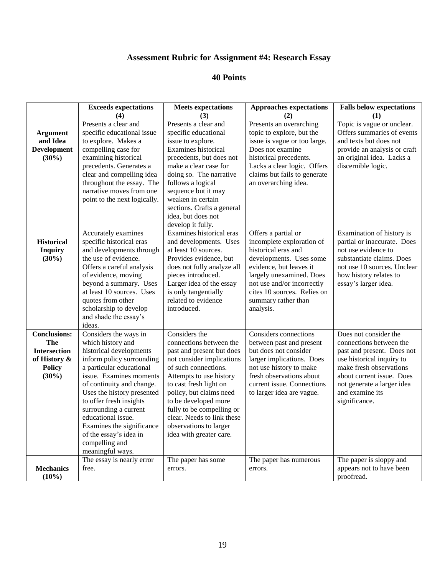## **Assessment Rubric for Assignment #4: Research Essay**

|                                                                                                | <b>Exceeds expectations</b><br>(4)                                                                                                                                                                                                                                                                                                                                                          | <b>Meets</b> expectations<br>(3)                                                                                                                                                                                                                                                                                                                   | <b>Approaches expectations</b><br>(2)                                                                                                                                                                                                                      | <b>Falls below expectations</b><br>(1)                                                                                                                                                                                                |
|------------------------------------------------------------------------------------------------|---------------------------------------------------------------------------------------------------------------------------------------------------------------------------------------------------------------------------------------------------------------------------------------------------------------------------------------------------------------------------------------------|----------------------------------------------------------------------------------------------------------------------------------------------------------------------------------------------------------------------------------------------------------------------------------------------------------------------------------------------------|------------------------------------------------------------------------------------------------------------------------------------------------------------------------------------------------------------------------------------------------------------|---------------------------------------------------------------------------------------------------------------------------------------------------------------------------------------------------------------------------------------|
| <b>Argument</b><br>and Idea<br><b>Development</b><br>$(30\%)$                                  | Presents a clear and<br>specific educational issue<br>to explore. Makes a<br>compelling case for<br>examining historical<br>precedents. Generates a<br>clear and compelling idea<br>throughout the essay. The<br>narrative moves from one<br>point to the next logically.                                                                                                                   | Presents a clear and<br>specific educational<br>issue to explore.<br>Examines historical<br>precedents, but does not<br>make a clear case for<br>doing so. The narrative<br>follows a logical<br>sequence but it may<br>weaken in certain<br>sections. Crafts a general<br>idea, but does not<br>develop it fully.                                 | Presents an overarching<br>topic to explore, but the<br>issue is vague or too large.<br>Does not examine<br>historical precedents.<br>Lacks a clear logic. Offers<br>claims but fails to generate<br>an overarching idea.                                  | Topic is vague or unclear.<br>Offers summaries of events<br>and texts but does not<br>provide an analysis or craft<br>an original idea. Lacks a<br>discernible logic.                                                                 |
| <b>Historical</b><br><b>Inquiry</b><br>$(30\%)$                                                | Accurately examines<br>specific historical eras<br>and developments through<br>the use of evidence.<br>Offers a careful analysis<br>of evidence, moving<br>beyond a summary. Uses<br>at least 10 sources. Uses<br>quotes from other<br>scholarship to develop<br>and shade the essay's<br>ideas.                                                                                            | Examines historical eras<br>and developments. Uses<br>at least 10 sources.<br>Provides evidence, but<br>does not fully analyze all<br>pieces introduced.<br>Larger idea of the essay<br>is only tangentially<br>related to evidence<br>introduced.                                                                                                 | Offers a partial or<br>incomplete exploration of<br>historical eras and<br>developments. Uses some<br>evidence, but leaves it<br>largely unexamined. Does<br>not use and/or incorrectly<br>cites 10 sources. Relies on<br>summary rather than<br>analysis. | Examination of history is<br>partial or inaccurate. Does<br>not use evidence to<br>substantiate claims. Does<br>not use 10 sources. Unclear<br>how history relates to<br>essay's larger idea.                                         |
| <b>Conclusions:</b><br>The<br><b>Intersection</b><br>of History &<br><b>Policy</b><br>$(30\%)$ | Considers the ways in<br>which history and<br>historical developments<br>inform policy surrounding<br>a particular educational<br>issue. Examines moments<br>of continuity and change.<br>Uses the history presented<br>to offer fresh insights<br>surrounding a current<br>educational issue.<br>Examines the significance<br>of the essay's idea in<br>compelling and<br>meaningful ways. | Considers the<br>connections between the<br>past and present but does<br>not consider implications<br>of such connections.<br>Attempts to use history<br>to cast fresh light on<br>policy, but claims need<br>to be developed more<br>fully to be compelling or<br>clear. Needs to link these<br>observations to larger<br>idea with greater care. | <b>Considers</b> connections<br>between past and present<br>but does not consider<br>larger implications. Does<br>not use history to make<br>fresh observations about<br>current issue. Connections<br>to larger idea are vague.                           | Does not consider the<br>connections between the<br>past and present. Does not<br>use historical inquiry to<br>make fresh observations<br>about current issue. Does<br>not generate a larger idea<br>and examine its<br>significance. |
| <b>Mechanics</b><br>$(10\%)$                                                                   | The essay is nearly error<br>free.                                                                                                                                                                                                                                                                                                                                                          | The paper has some<br>errors.                                                                                                                                                                                                                                                                                                                      | The paper has numerous<br>errors.                                                                                                                                                                                                                          | The paper is sloppy and<br>appears not to have been<br>proofread.                                                                                                                                                                     |